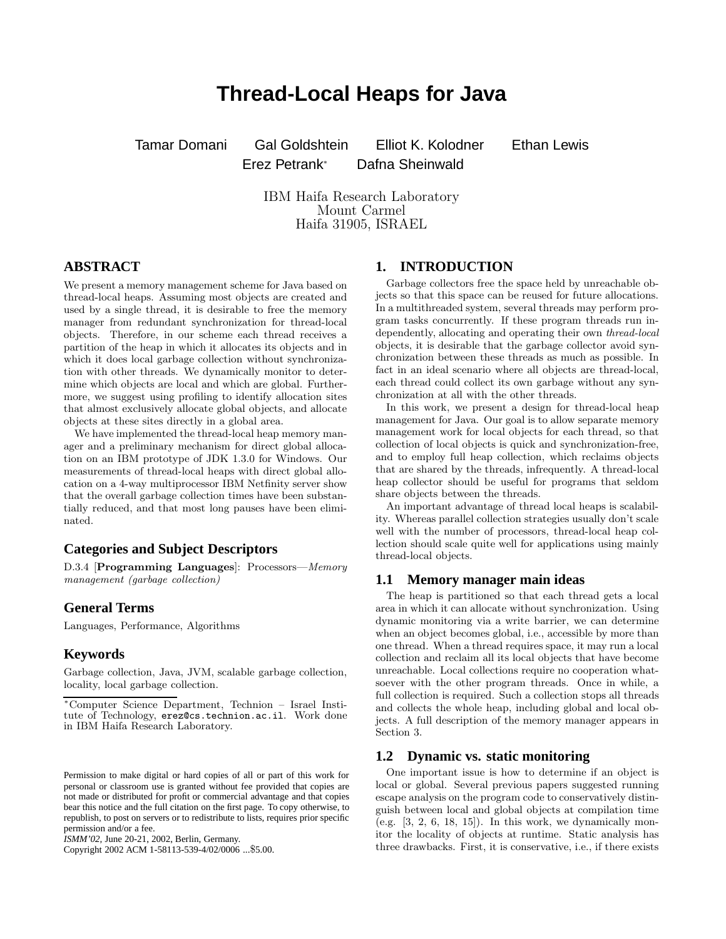# **Thread-Local Heaps for Java**

Tamar Domani Gal Goldshtein Elliot K. Kolodner Ethan Lewis Erez Petrank<sup>∗</sup> Dafna Sheinwald

IBM Haifa Research Laboratory Mount Carmel Haifa 31905, ISRAEL

# **ABSTRACT**

We present a memory management scheme for Java based on thread-local heaps. Assuming most objects are created and used by a single thread, it is desirable to free the memory manager from redundant synchronization for thread-local objects. Therefore, in our scheme each thread receives a partition of the heap in which it allocates its objects and in which it does local garbage collection without synchronization with other threads. We dynamically monitor to determine which objects are local and which are global. Furthermore, we suggest using profiling to identify allocation sites that almost exclusively allocate global objects, and allocate objects at these sites directly in a global area.

We have implemented the thread-local heap memory manager and a preliminary mechanism for direct global allocation on an IBM prototype of JDK 1.3.0 for Windows. Our measurements of thread-local heaps with direct global allocation on a 4-way multiprocessor IBM Netfinity server show that the overall garbage collection times have been substantially reduced, and that most long pauses have been eliminated.

# **Categories and Subject Descriptors**

D.3.4 [**Programming Languages**]: Processors—*Memory management (garbage collection)*

# **General Terms**

Languages, Performance, Algorithms

### **Keywords**

Garbage collection, Java, JVM, scalable garbage collection, locality, local garbage collection.

*ISMM'02,* June 20-21, 2002, Berlin, Germany.

Copyright 2002 ACM 1-58113-539-4/02/0006 ...\$5.00.

# **1. INTRODUCTION**

Garbage collectors free the space held by unreachable objects so that this space can be reused for future allocations. In a multithreaded system, several threads may perform program tasks concurrently. If these program threads run independently, allocating and operating their own *thread-local* objects, it is desirable that the garbage collector avoid synchronization between these threads as much as possible. In fact in an ideal scenario where all objects are thread-local, each thread could collect its own garbage without any synchronization at all with the other threads.

In this work, we present a design for thread-local heap management for Java. Our goal is to allow separate memory management work for local objects for each thread, so that collection of local objects is quick and synchronization-free, and to employ full heap collection, which reclaims objects that are shared by the threads, infrequently. A thread-local heap collector should be useful for programs that seldom share objects between the threads.

An important advantage of thread local heaps is scalability. Whereas parallel collection strategies usually don't scale well with the number of processors, thread-local heap collection should scale quite well for applications using mainly thread-local objects.

### **1.1 Memory manager main ideas**

The heap is partitioned so that each thread gets a local area in which it can allocate without synchronization. Using dynamic monitoring via a write barrier, we can determine when an object becomes global, i.e., accessible by more than one thread. When a thread requires space, it may run a local collection and reclaim all its local objects that have become unreachable. Local collections require no cooperation whatsoever with the other program threads. Once in while, a full collection is required. Such a collection stops all threads and collects the whole heap, including global and local objects. A full description of the memory manager appears in Section 3.

### **1.2 Dynamic vs. static monitoring**

One important issue is how to determine if an object is local or global. Several previous papers suggested running escape analysis on the program code to conservatively distinguish between local and global objects at compilation time (e.g.  $[3, 2, 6, 18, 15]$ ). In this work, we dynamically monitor the locality of objects at runtime. Static analysis has three drawbacks. First, it is conservative, i.e., if there exists

<sup>∗</sup>Computer Science Department, Technion – Israel Institute of Technology, erez@cs.technion.ac.il. Work done in IBM Haifa Research Laboratory.

Permission to make digital or hard copies of all or part of this work for personal or classroom use is granted without fee provided that copies are not made or distributed for profit or commercial advantage and that copies bear this notice and the full citation on the first page. To copy otherwise, to republish, to post on servers or to redistribute to lists, requires prior specific permission and/or a fee.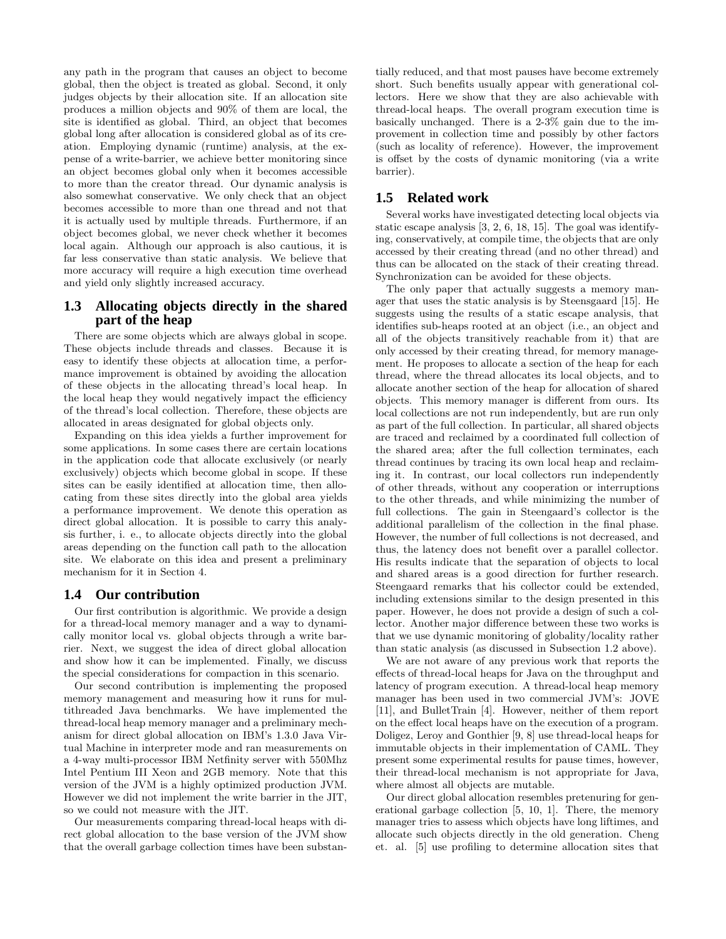any path in the program that causes an object to become global, then the object is treated as global. Second, it only judges objects by their allocation site. If an allocation site produces a million objects and 90% of them are local, the site is identified as global. Third, an object that becomes global long after allocation is considered global as of its creation. Employing dynamic (runtime) analysis, at the expense of a write-barrier, we achieve better monitoring since an object becomes global only when it becomes accessible to more than the creator thread. Our dynamic analysis is also somewhat conservative. We only check that an object becomes accessible to more than one thread and not that it is actually used by multiple threads. Furthermore, if an object becomes global, we never check whether it becomes local again. Although our approach is also cautious, it is far less conservative than static analysis. We believe that more accuracy will require a high execution time overhead and yield only slightly increased accuracy.

# **1.3 Allocating objects directly in the shared part of the heap**

There are some objects which are always global in scope. These objects include threads and classes. Because it is easy to identify these objects at allocation time, a performance improvement is obtained by avoiding the allocation of these objects in the allocating thread's local heap. In the local heap they would negatively impact the efficiency of the thread's local collection. Therefore, these objects are allocated in areas designated for global objects only.

Expanding on this idea yields a further improvement for some applications. In some cases there are certain locations in the application code that allocate exclusively (or nearly exclusively) objects which become global in scope. If these sites can be easily identified at allocation time, then allocating from these sites directly into the global area yields a performance improvement. We denote this operation as direct global allocation. It is possible to carry this analysis further, i. e., to allocate objects directly into the global areas depending on the function call path to the allocation site. We elaborate on this idea and present a preliminary mechanism for it in Section 4.

### **1.4 Our contribution**

Our first contribution is algorithmic. We provide a design for a thread-local memory manager and a way to dynamically monitor local vs. global objects through a write barrier. Next, we suggest the idea of direct global allocation and show how it can be implemented. Finally, we discuss the special considerations for compaction in this scenario.

Our second contribution is implementing the proposed memory management and measuring how it runs for multithreaded Java benchmarks. We have implemented the thread-local heap memory manager and a preliminary mechanism for direct global allocation on IBM's 1.3.0 Java Virtual Machine in interpreter mode and ran measurements on a 4-way multi-processor IBM Netfinity server with 550Mhz Intel Pentium III Xeon and 2GB memory. Note that this version of the JVM is a highly optimized production JVM. However we did not implement the write barrier in the JIT, so we could not measure with the JIT.

Our measurements comparing thread-local heaps with direct global allocation to the base version of the JVM show that the overall garbage collection times have been substantially reduced, and that most pauses have become extremely short. Such benefits usually appear with generational collectors. Here we show that they are also achievable with thread-local heaps. The overall program execution time is basically unchanged. There is a 2-3% gain due to the improvement in collection time and possibly by other factors (such as locality of reference). However, the improvement is offset by the costs of dynamic monitoring (via a write barrier).

### **1.5 Related work**

Several works have investigated detecting local objects via static escape analysis [3, 2, 6, 18, 15]. The goal was identifying, conservatively, at compile time, the objects that are only accessed by their creating thread (and no other thread) and thus can be allocated on the stack of their creating thread. Synchronization can be avoided for these objects.

The only paper that actually suggests a memory manager that uses the static analysis is by Steensgaard [15]. He suggests using the results of a static escape analysis, that identifies sub-heaps rooted at an object (i.e., an object and all of the objects transitively reachable from it) that are only accessed by their creating thread, for memory management. He proposes to allocate a section of the heap for each thread, where the thread allocates its local objects, and to allocate another section of the heap for allocation of shared objects. This memory manager is different from ours. Its local collections are not run independently, but are run only as part of the full collection. In particular, all shared objects are traced and reclaimed by a coordinated full collection of the shared area; after the full collection terminates, each thread continues by tracing its own local heap and reclaiming it. In contrast, our local collectors run independently of other threads, without any cooperation or interruptions to the other threads, and while minimizing the number of full collections. The gain in Steengaard's collector is the additional parallelism of the collection in the final phase. However, the number of full collections is not decreased, and thus, the latency does not benefit over a parallel collector. His results indicate that the separation of objects to local and shared areas is a good direction for further research. Steengaard remarks that his collector could be extended, including extensions similar to the design presented in this paper. However, he does not provide a design of such a collector. Another major difference between these two works is that we use dynamic monitoring of globality/locality rather than static analysis (as discussed in Subsection 1.2 above).

We are not aware of any previous work that reports the effects of thread-local heaps for Java on the throughput and latency of program execution. A thread-local heap memory manager has been used in two commercial JVM's: JOVE [11], and BulletTrain [4]. However, neither of them report on the effect local heaps have on the execution of a program. Doligez, Leroy and Gonthier [9, 8] use thread-local heaps for immutable objects in their implementation of CAML. They present some experimental results for pause times, however, their thread-local mechanism is not appropriate for Java, where almost all objects are mutable.

Our direct global allocation resembles pretenuring for generational garbage collection [5, 10, 1]. There, the memory manager tries to assess which objects have long liftimes, and allocate such objects directly in the old generation. Cheng et. al. [5] use profiling to determine allocation sites that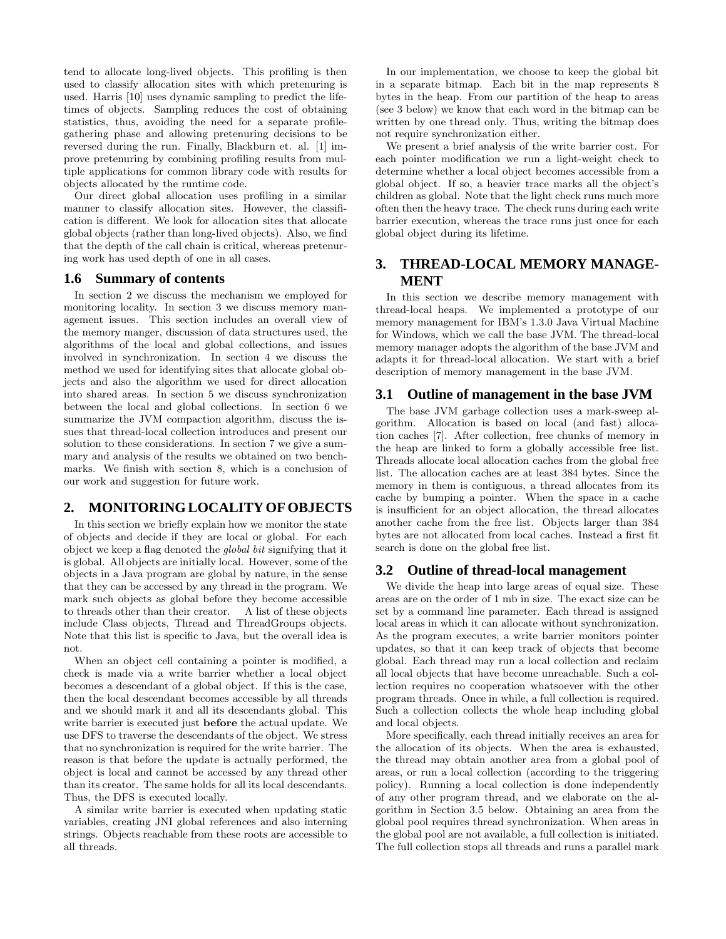tend to allocate long-lived objects. This profiling is then used to classify allocation sites with which pretenuring is used. Harris [10] uses dynamic sampling to predict the lifetimes of objects. Sampling reduces the cost of obtaining statistics, thus, avoiding the need for a separate profilegathering phase and allowing pretenuring decisions to be reversed during the run. Finally, Blackburn et. al. [1] improve pretenuring by combining profiling results from multiple applications for common library code with results for objects allocated by the runtime code.

Our direct global allocation uses profiling in a similar manner to classify allocation sites. However, the classification is different. We look for allocation sites that allocate global objects (rather than long-lived objects). Also, we find that the depth of the call chain is critical, whereas pretenuring work has used depth of one in all cases.

### **1.6 Summary of contents**

In section 2 we discuss the mechanism we employed for monitoring locality. In section 3 we discuss memory management issues. This section includes an overall view of the memory manger, discussion of data structures used, the algorithms of the local and global collections, and issues involved in synchronization. In section 4 we discuss the method we used for identifying sites that allocate global objects and also the algorithm we used for direct allocation into shared areas. In section 5 we discuss synchronization between the local and global collections. In section 6 we summarize the JVM compaction algorithm, discuss the issues that thread-local collection introduces and present our solution to these considerations. In section 7 we give a summary and analysis of the results we obtained on two benchmarks. We finish with section 8, which is a conclusion of our work and suggestion for future work.

# **2. MONITORING LOCALITY OF OBJECTS**

In this section we briefly explain how we monitor the state of objects and decide if they are local or global. For each object we keep a flag denoted the *global bit* signifying that it is global. All objects are initially local. However, some of the objects in a Java program are global by nature, in the sense that they can be accessed by any thread in the program. We mark such objects as global before they become accessible to threads other than their creator. A list of these objects include Class objects, Thread and ThreadGroups objects. Note that this list is specific to Java, but the overall idea is not.

When an object cell containing a pointer is modified, a check is made via a write barrier whether a local object becomes a descendant of a global object. If this is the case, then the local descendant becomes accessible by all threads and we should mark it and all its descendants global. This write barrier is executed just **before** the actual update. We use DFS to traverse the descendants of the object. We stress that no synchronization is required for the write barrier. The reason is that before the update is actually performed, the object is local and cannot be accessed by any thread other than its creator. The same holds for all its local descendants. Thus, the DFS is executed locally.

A similar write barrier is executed when updating static variables, creating JNI global references and also interning strings. Objects reachable from these roots are accessible to all threads.

In our implementation, we choose to keep the global bit in a separate bitmap. Each bit in the map represents 8 bytes in the heap. From our partition of the heap to areas (see 3 below) we know that each word in the bitmap can be written by one thread only. Thus, writing the bitmap does not require synchronization either.

We present a brief analysis of the write barrier cost. For each pointer modification we run a light-weight check to determine whether a local object becomes accessible from a global object. If so, a heavier trace marks all the object's children as global. Note that the light check runs much more often then the heavy trace. The check runs during each write barrier execution, whereas the trace runs just once for each global object during its lifetime.

# **3. THREAD-LOCAL MEMORY MANAGE-MENT**

In this section we describe memory management with thread-local heaps. We implemented a prototype of our memory management for IBM's 1.3.0 Java Virtual Machine for Windows, which we call the base JVM. The thread-local memory manager adopts the algorithm of the base JVM and adapts it for thread-local allocation. We start with a brief description of memory management in the base JVM.

#### **3.1 Outline of management in the base JVM**

The base JVM garbage collection uses a mark-sweep algorithm. Allocation is based on local (and fast) allocation caches [7]. After collection, free chunks of memory in the heap are linked to form a globally accessible free list. Threads allocate local allocation caches from the global free list. The allocation caches are at least 384 bytes. Since the memory in them is contiguous, a thread allocates from its cache by bumping a pointer. When the space in a cache is insufficient for an object allocation, the thread allocates another cache from the free list. Objects larger than 384 bytes are not allocated from local caches. Instead a first fit search is done on the global free list.

# **3.2 Outline of thread-local management**

We divide the heap into large areas of equal size. These areas are on the order of 1 mb in size. The exact size can be set by a command line parameter. Each thread is assigned local areas in which it can allocate without synchronization. As the program executes, a write barrier monitors pointer updates, so that it can keep track of objects that become global. Each thread may run a local collection and reclaim all local objects that have become unreachable. Such a collection requires no cooperation whatsoever with the other program threads. Once in while, a full collection is required. Such a collection collects the whole heap including global and local objects.

More specifically, each thread initially receives an area for the allocation of its objects. When the area is exhausted, the thread may obtain another area from a global pool of areas, or run a local collection (according to the triggering policy). Running a local collection is done independently of any other program thread, and we elaborate on the algorithm in Section 3.5 below. Obtaining an area from the global pool requires thread synchronization. When areas in the global pool are not available, a full collection is initiated. The full collection stops all threads and runs a parallel mark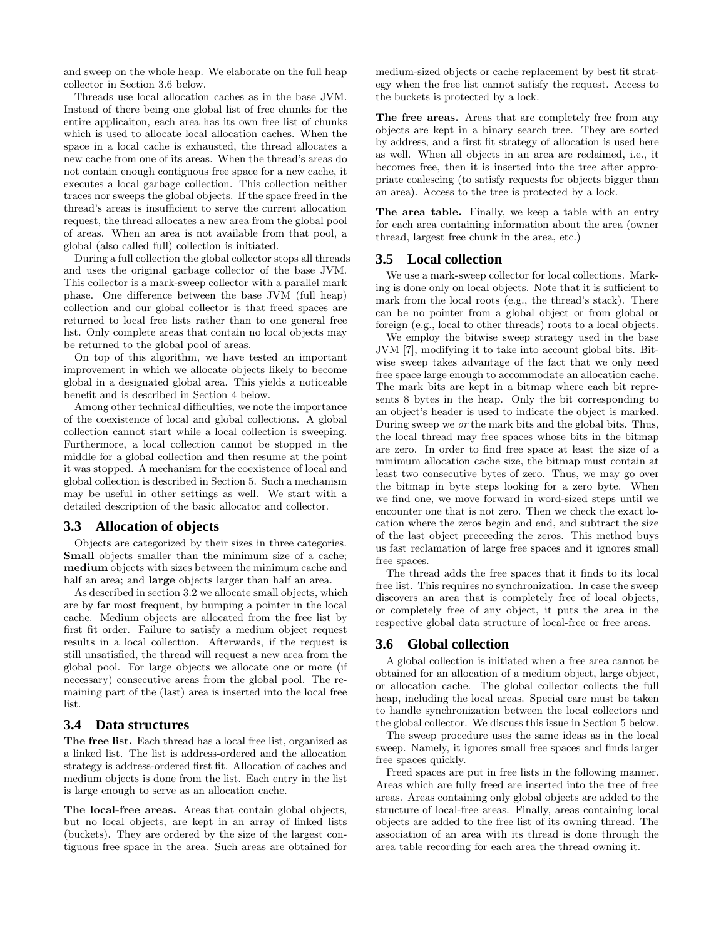and sweep on the whole heap. We elaborate on the full heap collector in Section 3.6 below.

Threads use local allocation caches as in the base JVM. Instead of there being one global list of free chunks for the entire applicaiton, each area has its own free list of chunks which is used to allocate local allocation caches. When the space in a local cache is exhausted, the thread allocates a new cache from one of its areas. When the thread's areas do not contain enough contiguous free space for a new cache, it executes a local garbage collection. This collection neither traces nor sweeps the global objects. If the space freed in the thread's areas is insufficient to serve the current allocation request, the thread allocates a new area from the global pool of areas. When an area is not available from that pool, a global (also called full) collection is initiated.

During a full collection the global collector stops all threads and uses the original garbage collector of the base JVM. This collector is a mark-sweep collector with a parallel mark phase. One difference between the base JVM (full heap) collection and our global collector is that freed spaces are returned to local free lists rather than to one general free list. Only complete areas that contain no local objects may be returned to the global pool of areas.

On top of this algorithm, we have tested an important improvement in which we allocate objects likely to become global in a designated global area. This yields a noticeable benefit and is described in Section 4 below.

Among other technical difficulties, we note the importance of the coexistence of local and global collections. A global collection cannot start while a local collection is sweeping. Furthermore, a local collection cannot be stopped in the middle for a global collection and then resume at the point it was stopped. A mechanism for the coexistence of local and global collection is described in Section 5. Such a mechanism may be useful in other settings as well. We start with a detailed description of the basic allocator and collector.

### **3.3 Allocation of objects**

Objects are categorized by their sizes in three categories. **Small** objects smaller than the minimum size of a cache; **medium** objects with sizes between the minimum cache and half an area; and **large** objects larger than half an area.

As described in section 3.2 we allocate small objects, which are by far most frequent, by bumping a pointer in the local cache. Medium objects are allocated from the free list by first fit order. Failure to satisfy a medium object request results in a local collection. Afterwards, if the request is still unsatisfied, the thread will request a new area from the global pool. For large objects we allocate one or more (if necessary) consecutive areas from the global pool. The remaining part of the (last) area is inserted into the local free list.

#### **3.4 Data structures**

**The free list.** Each thread has a local free list, organized as a linked list. The list is address-ordered and the allocation strategy is address-ordered first fit. Allocation of caches and medium objects is done from the list. Each entry in the list is large enough to serve as an allocation cache.

**The local-free areas.** Areas that contain global objects, but no local objects, are kept in an array of linked lists (buckets). They are ordered by the size of the largest contiguous free space in the area. Such areas are obtained for medium-sized objects or cache replacement by best fit strategy when the free list cannot satisfy the request. Access to the buckets is protected by a lock.

**The free areas.** Areas that are completely free from any objects are kept in a binary search tree. They are sorted by address, and a first fit strategy of allocation is used here as well. When all objects in an area are reclaimed, i.e., it becomes free, then it is inserted into the tree after appropriate coalescing (to satisfy requests for objects bigger than an area). Access to the tree is protected by a lock.

**The area table.** Finally, we keep a table with an entry for each area containing information about the area (owner thread, largest free chunk in the area, etc.)

#### **3.5 Local collection**

We use a mark-sweep collector for local collections. Marking is done only on local objects. Note that it is sufficient to mark from the local roots (e.g., the thread's stack). There can be no pointer from a global object or from global or foreign (e.g., local to other threads) roots to a local objects.

We employ the bitwise sweep strategy used in the base JVM [7], modifying it to take into account global bits. Bitwise sweep takes advantage of the fact that we only need free space large enough to accommodate an allocation cache. The mark bits are kept in a bitmap where each bit represents 8 bytes in the heap. Only the bit corresponding to an object's header is used to indicate the object is marked. During sweep we *or* the mark bits and the global bits. Thus, the local thread may free spaces whose bits in the bitmap are zero. In order to find free space at least the size of a minimum allocation cache size, the bitmap must contain at least two consecutive bytes of zero. Thus, we may go over the bitmap in byte steps looking for a zero byte. When we find one, we move forward in word-sized steps until we encounter one that is not zero. Then we check the exact location where the zeros begin and end, and subtract the size of the last object preceeding the zeros. This method buys us fast reclamation of large free spaces and it ignores small free spaces.

The thread adds the free spaces that it finds to its local free list. This requires no synchronization. In case the sweep discovers an area that is completely free of local objects, or completely free of any object, it puts the area in the respective global data structure of local-free or free areas.

#### **3.6 Global collection**

A global collection is initiated when a free area cannot be obtained for an allocation of a medium object, large object, or allocation cache. The global collector collects the full heap, including the local areas. Special care must be taken to handle synchronization between the local collectors and the global collector. We discuss this issue in Section 5 below.

The sweep procedure uses the same ideas as in the local sweep. Namely, it ignores small free spaces and finds larger free spaces quickly.

Freed spaces are put in free lists in the following manner. Areas which are fully freed are inserted into the tree of free areas. Areas containing only global objects are added to the structure of local-free areas. Finally, areas containing local objects are added to the free list of its owning thread. The association of an area with its thread is done through the area table recording for each area the thread owning it.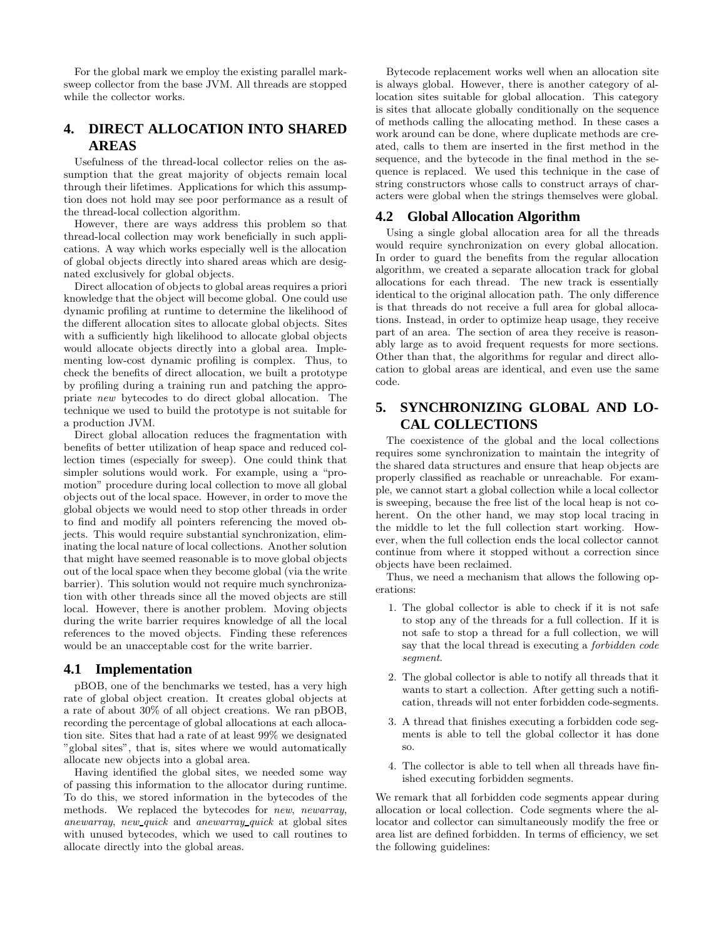For the global mark we employ the existing parallel marksweep collector from the base JVM. All threads are stopped while the collector works.

# **4. DIRECT ALLOCATION INTO SHARED AREAS**

Usefulness of the thread-local collector relies on the assumption that the great majority of objects remain local through their lifetimes. Applications for which this assumption does not hold may see poor performance as a result of the thread-local collection algorithm.

However, there are ways address this problem so that thread-local collection may work beneficially in such applications. A way which works especially well is the allocation of global objects directly into shared areas which are designated exclusively for global objects.

Direct allocation of objects to global areas requires a priori knowledge that the object will become global. One could use dynamic profiling at runtime to determine the likelihood of the different allocation sites to allocate global objects. Sites with a sufficiently high likelihood to allocate global objects would allocate objects directly into a global area. Implementing low-cost dynamic profiling is complex. Thus, to check the benefits of direct allocation, we built a prototype by profiling during a training run and patching the appropriate *new* bytecodes to do direct global allocation. The technique we used to build the prototype is not suitable for a production JVM.

Direct global allocation reduces the fragmentation with benefits of better utilization of heap space and reduced collection times (especially for sweep). One could think that simpler solutions would work. For example, using a "promotion" procedure during local collection to move all global objects out of the local space. However, in order to move the global objects we would need to stop other threads in order to find and modify all pointers referencing the moved objects. This would require substantial synchronization, eliminating the local nature of local collections. Another solution that might have seemed reasonable is to move global objects out of the local space when they become global (via the write barrier). This solution would not require much synchronization with other threads since all the moved objects are still local. However, there is another problem. Moving objects during the write barrier requires knowledge of all the local references to the moved objects. Finding these references would be an unacceptable cost for the write barrier.

#### **4.1 Implementation**

pBOB, one of the benchmarks we tested, has a very high rate of global object creation. It creates global objects at a rate of about 30% of all object creations. We ran pBOB, recording the percentage of global allocations at each allocation site. Sites that had a rate of at least 99% we designated "global sites", that is, sites where we would automatically allocate new objects into a global area.

Having identified the global sites, we needed some way of passing this information to the allocator during runtime. To do this, we stored information in the bytecodes of the methods. We replaced the bytecodes for *new*, *newarray*, *anewarray*, *new quick* and *anewarray quick* at global sites with unused bytecodes, which we used to call routines to allocate directly into the global areas.

Bytecode replacement works well when an allocation site is always global. However, there is another category of allocation sites suitable for global allocation. This category is sites that allocate globally conditionally on the sequence of methods calling the allocating method. In these cases a work around can be done, where duplicate methods are created, calls to them are inserted in the first method in the sequence, and the bytecode in the final method in the sequence is replaced. We used this technique in the case of string constructors whose calls to construct arrays of characters were global when the strings themselves were global.

### **4.2 Global Allocation Algorithm**

Using a single global allocation area for all the threads would require synchronization on every global allocation. In order to guard the benefits from the regular allocation algorithm, we created a separate allocation track for global allocations for each thread. The new track is essentially identical to the original allocation path. The only difference is that threads do not receive a full area for global allocations. Instead, in order to optimize heap usage, they receive part of an area. The section of area they receive is reasonably large as to avoid frequent requests for more sections. Other than that, the algorithms for regular and direct allocation to global areas are identical, and even use the same code.

# **5. SYNCHRONIZING GLOBAL AND LO-CAL COLLECTIONS**

The coexistence of the global and the local collections requires some synchronization to maintain the integrity of the shared data structures and ensure that heap objects are properly classified as reachable or unreachable. For example, we cannot start a global collection while a local collector is sweeping, because the free list of the local heap is not coherent. On the other hand, we may stop local tracing in the middle to let the full collection start working. However, when the full collection ends the local collector cannot continue from where it stopped without a correction since objects have been reclaimed.

Thus, we need a mechanism that allows the following operations:

- 1. The global collector is able to check if it is not safe to stop any of the threads for a full collection. If it is not safe to stop a thread for a full collection, we will say that the local thread is executing a *forbidden code segment*.
- 2. The global collector is able to notify all threads that it wants to start a collection. After getting such a notification, threads will not enter forbidden code-segments.
- 3. A thread that finishes executing a forbidden code segments is able to tell the global collector it has done so.
- 4. The collector is able to tell when all threads have finished executing forbidden segments.

We remark that all forbidden code segments appear during allocation or local collection. Code segments where the allocator and collector can simultaneously modify the free or area list are defined forbidden. In terms of efficiency, we set the following guidelines: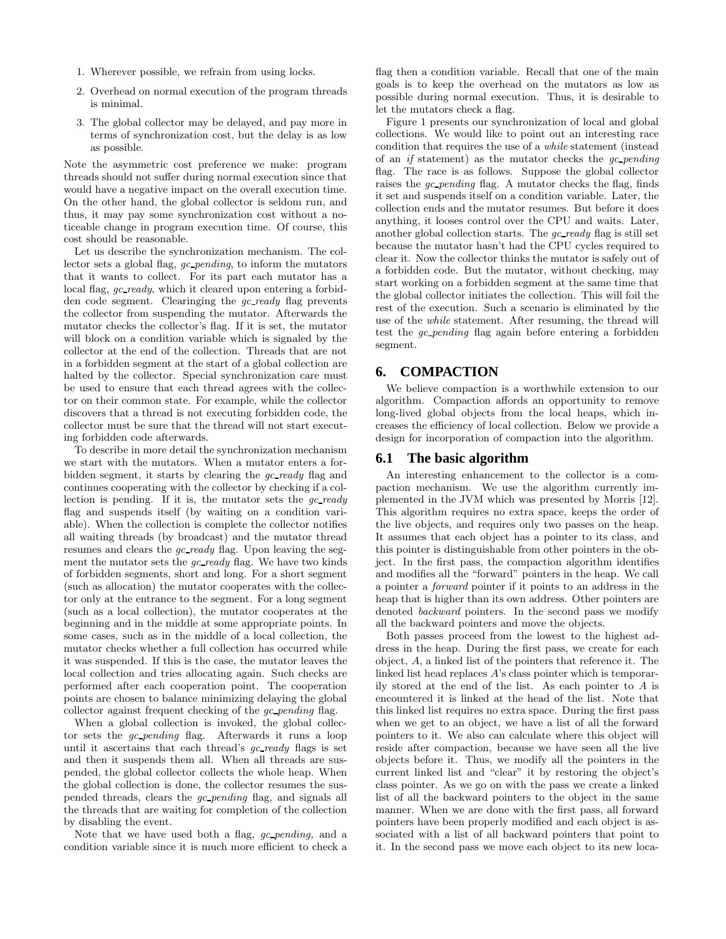- 1. Wherever possible, we refrain from using locks.
- 2. Overhead on normal execution of the program threads is minimal.
- 3. The global collector may be delayed, and pay more in terms of synchronization cost, but the delay is as low as possible.

Note the asymmetric cost preference we make: program threads should not suffer during normal execution since that would have a negative impact on the overall execution time. On the other hand, the global collector is seldom run, and thus, it may pay some synchronization cost without a noticeable change in program execution time. Of course, this cost should be reasonable.

Let us describe the synchronization mechanism. The collector sets a global flag, *gc pending*, to inform the mutators that it wants to collect. For its part each mutator has a local flag, *gc ready*, which it cleared upon entering a forbidden code segment. Clearinging the *gc ready* flag prevents the collector from suspending the mutator. Afterwards the mutator checks the collector's flag. If it is set, the mutator will block on a condition variable which is signaled by the collector at the end of the collection. Threads that are not in a forbidden segment at the start of a global collection are halted by the collector. Special synchronization care must be used to ensure that each thread agrees with the collector on their common state. For example, while the collector discovers that a thread is not executing forbidden code, the collector must be sure that the thread will not start executing forbidden code afterwards.

To describe in more detail the synchronization mechanism we start with the mutators. When a mutator enters a forbidden segment, it starts by clearing the *gc ready* flag and continues cooperating with the collector by checking if a collection is pending. If it is, the mutator sets the *gc ready* flag and suspends itself (by waiting on a condition variable). When the collection is complete the collector notifies all waiting threads (by broadcast) and the mutator thread resumes and clears the *gc ready* flag. Upon leaving the segment the mutator sets the *gc ready* flag. We have two kinds of forbidden segments, short and long. For a short segment (such as allocation) the mutator cooperates with the collector only at the entrance to the segment. For a long segment (such as a local collection), the mutator cooperates at the beginning and in the middle at some appropriate points. In some cases, such as in the middle of a local collection, the mutator checks whether a full collection has occurred while it was suspended. If this is the case, the mutator leaves the local collection and tries allocating again. Such checks are performed after each cooperation point. The cooperation points are chosen to balance minimizing delaying the global collector against frequent checking of the *gc pending* flag.

When a global collection is invoked, the global collector sets the *gc\_pending* flag. Afterwards it runs a loop until it ascertains that each thread's *gc ready* flags is set and then it suspends them all. When all threads are suspended, the global collector collects the whole heap. When the global collection is done, the collector resumes the suspended threads, clears the *gc pending* flag, and signals all the threads that are waiting for completion of the collection by disabling the event.

Note that we have used both a flag, *gc pending,* and a condition variable since it is much more efficient to check a

flag then a condition variable. Recall that one of the main goals is to keep the overhead on the mutators as low as possible during normal execution. Thus, it is desirable to let the mutators check a flag.

Figure 1 presents our synchronization of local and global collections. We would like to point out an interesting race condition that requires the use of a *while* statement (instead of an *if* statement) as the mutator checks the *gc pending* flag. The race is as follows. Suppose the global collector raises the *gc pending* flag. A mutator checks the flag, finds it set and suspends itself on a condition variable. Later, the collection ends and the mutator resumes. But before it does anything, it looses control over the CPU and waits. Later, another global collection starts. The *gc ready* flag is still set because the mutator hasn't had the CPU cycles required to clear it. Now the collector thinks the mutator is safely out of a forbidden code. But the mutator, without checking, may start working on a forbidden segment at the same time that the global collector initiates the collection. This will foil the rest of the execution. Such a scenario is eliminated by the use of the *while* statement. After resuming, the thread will test the *gc pending* flag again before entering a forbidden segment.

# **6. COMPACTION**

We believe compaction is a worthwhile extension to our algorithm. Compaction affords an opportunity to remove long-lived global objects from the local heaps, which increases the efficiency of local collection. Below we provide a design for incorporation of compaction into the algorithm.

### **6.1 The basic algorithm**

An interesting enhancement to the collector is a compaction mechanism. We use the algorithm currently implemented in the JVM which was presented by Morris [12]. This algorithm requires no extra space, keeps the order of the live objects, and requires only two passes on the heap. It assumes that each object has a pointer to its class, and this pointer is distinguishable from other pointers in the object. In the first pass, the compaction algorithm identifies and modifies all the "forward" pointers in the heap. We call a pointer a *forward* pointer if it points to an address in the heap that is higher than its own address. Other pointers are denoted *backward* pointers. In the second pass we modify all the backward pointers and move the objects.

Both passes proceed from the lowest to the highest address in the heap. During the first pass, we create for each object, *A*, a linked list of the pointers that reference it. The linked list head replaces *A*'s class pointer which is temporarily stored at the end of the list. As each pointer to *A* is encountered it is linked at the head of the list. Note that this linked list requires no extra space. During the first pass when we get to an object, we have a list of all the forward pointers to it. We also can calculate where this object will reside after compaction, because we have seen all the live objects before it. Thus, we modify all the pointers in the current linked list and "clear" it by restoring the object's class pointer. As we go on with the pass we create a linked list of all the backward pointers to the object in the same manner. When we are done with the first pass, all forward pointers have been properly modified and each object is associated with a list of all backward pointers that point to it. In the second pass we move each object to its new loca-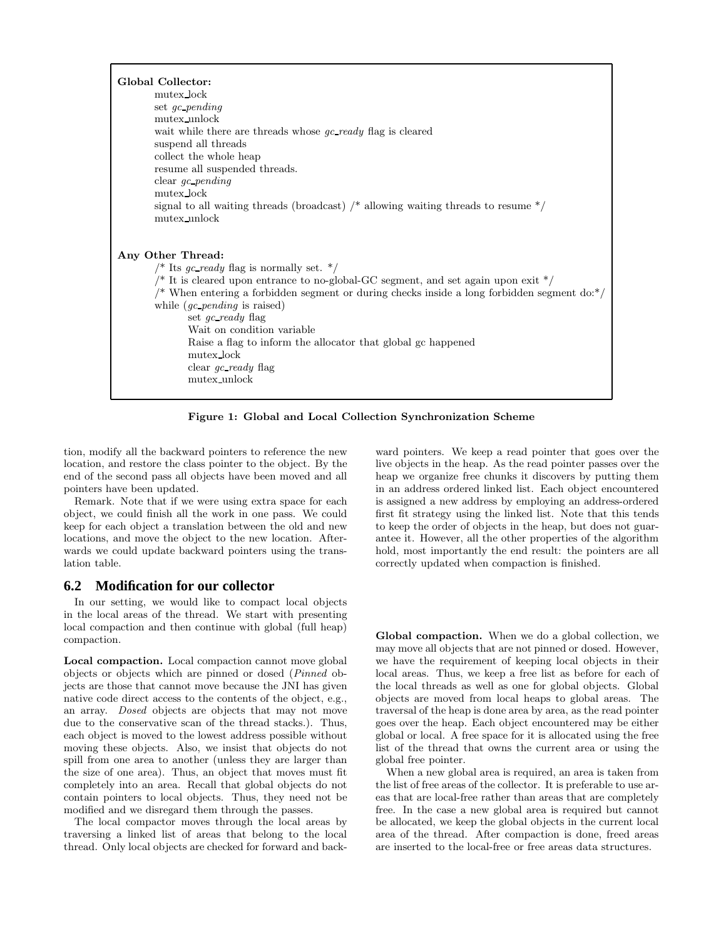| Global Collector:<br>mutex_lock<br>set gc_pending<br>mutex_unlock<br>wait while there are threads whose <i>gc_ready</i> flag is cleared<br>suspend all threads<br>collect the whole heap<br>resume all suspended threads.<br>clear $gc\_pending$<br>mutex_lock<br>signal to all waiting threads (broadcast) $\prime^*$ allowing waiting threads to resume $\prime\prime$<br>mutex_unlock                                                                                                          |
|---------------------------------------------------------------------------------------------------------------------------------------------------------------------------------------------------------------------------------------------------------------------------------------------------------------------------------------------------------------------------------------------------------------------------------------------------------------------------------------------------|
| Any Other Thread:<br>/* Its gc_ready flag is normally set. $*/$<br>/* It is cleared upon entrance to no-global-GC segment, and set again upon exit $*/$<br>/* When entering a forbidden segment or during checks inside a long forbidden segment $\text{do:}^*/$<br>while $(gc\text{ }pending\text{ is raised})$<br>set $qc$ ready flag<br>Wait on condition variable<br>Raise a flag to inform the allocator that global gc happened<br>mutex_lock<br>clear <i>qc_ready</i> flag<br>mutex_unlock |

**Figure 1: Global and Local Collection Synchronization Scheme**

tion, modify all the backward pointers to reference the new location, and restore the class pointer to the object. By the end of the second pass all objects have been moved and all pointers have been updated.

Remark. Note that if we were using extra space for each object, we could finish all the work in one pass. We could keep for each object a translation between the old and new locations, and move the object to the new location. Afterwards we could update backward pointers using the translation table.

### **6.2 Modification for our collector**

In our setting, we would like to compact local objects in the local areas of the thread. We start with presenting local compaction and then continue with global (full heap) compaction.

**Local compaction.** Local compaction cannot move global objects or objects which are pinned or dosed (*Pinned* objects are those that cannot move because the JNI has given native code direct access to the contents of the object, e.g., an array. *Dosed* objects are objects that may not move due to the conservative scan of the thread stacks.). Thus, each object is moved to the lowest address possible without moving these objects. Also, we insist that objects do not spill from one area to another (unless they are larger than the size of one area). Thus, an object that moves must fit completely into an area. Recall that global objects do not contain pointers to local objects. Thus, they need not be modified and we disregard them through the passes.

The local compactor moves through the local areas by traversing a linked list of areas that belong to the local thread. Only local objects are checked for forward and back-

ward pointers. We keep a read pointer that goes over the live objects in the heap. As the read pointer passes over the heap we organize free chunks it discovers by putting them in an address ordered linked list. Each object encountered is assigned a new address by employing an address-ordered first fit strategy using the linked list. Note that this tends to keep the order of objects in the heap, but does not guarantee it. However, all the other properties of the algorithm hold, most importantly the end result: the pointers are all correctly updated when compaction is finished.

**Global compaction.** When we do a global collection, we may move all objects that are not pinned or dosed. However, we have the requirement of keeping local objects in their local areas. Thus, we keep a free list as before for each of the local threads as well as one for global objects. Global objects are moved from local heaps to global areas. The traversal of the heap is done area by area, as the read pointer goes over the heap. Each object encountered may be either global or local. A free space for it is allocated using the free list of the thread that owns the current area or using the global free pointer.

When a new global area is required, an area is taken from the list of free areas of the collector. It is preferable to use areas that are local-free rather than areas that are completely free. In the case a new global area is required but cannot be allocated, we keep the global objects in the current local area of the thread. After compaction is done, freed areas are inserted to the local-free or free areas data structures.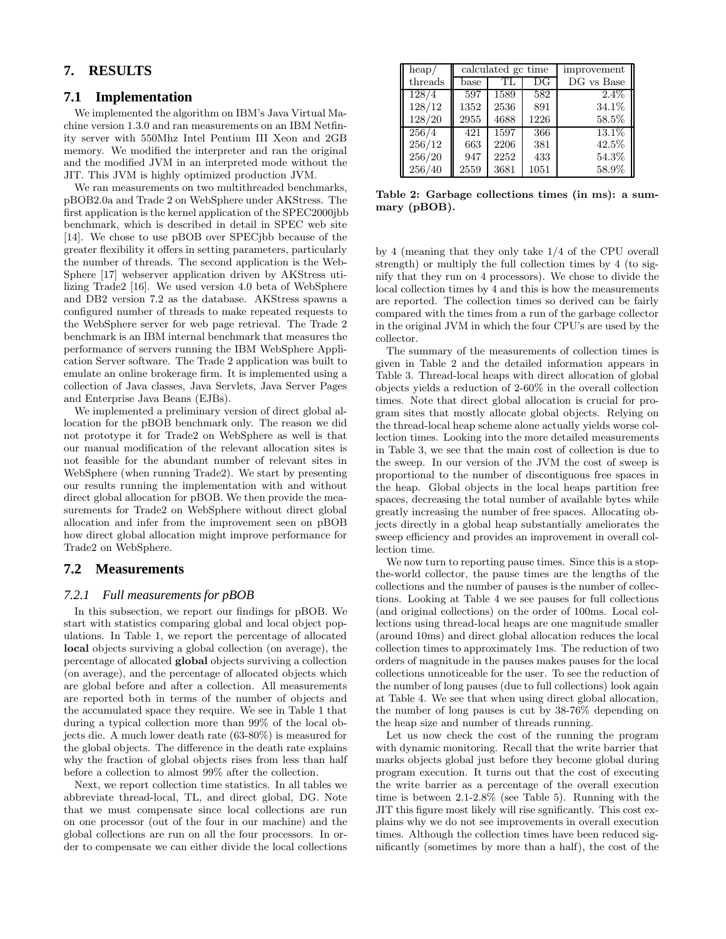# **7. RESULTS**

### **7.1 Implementation**

We implemented the algorithm on IBM's Java Virtual Machine version 1.3.0 and ran measurements on an IBM Netfinity server with 550Mhz Intel Pentium III Xeon and 2GB memory. We modified the interpreter and ran the original and the modified JVM in an interpreted mode without the JIT. This JVM is highly optimized production JVM.

We ran measurements on two multithreaded benchmarks, pBOB2.0a and Trade 2 on WebSphere under AKStress. The first application is the kernel application of the SPEC2000jbb benchmark, which is described in detail in SPEC web site [14]. We chose to use pBOB over SPECjbb because of the greater flexibility it offers in setting parameters, particularly the number of threads. The second application is the Web-Sphere [17] webserver application driven by AKStress utilizing Trade2 [16]. We used version 4.0 beta of WebSphere and DB2 version 7.2 as the database. AKStress spawns a configured number of threads to make repeated requests to the WebSphere server for web page retrieval. The Trade 2 benchmark is an IBM internal benchmark that measures the performance of servers running the IBM WebSphere Application Server software. The Trade 2 application was built to emulate an online brokerage firm. It is implemented using a collection of Java classes, Java Servlets, Java Server Pages and Enterprise Java Beans (EJBs).

We implemented a preliminary version of direct global allocation for the pBOB benchmark only. The reason we did not prototype it for Trade2 on WebSphere as well is that our manual modification of the relevant allocation sites is not feasible for the abundant number of relevant sites in WebSphere (when running Trade2). We start by presenting our results running the implementation with and without direct global allocation for pBOB. We then provide the measurements for Trade2 on WebSphere without direct global allocation and infer from the improvement seen on pBOB how direct global allocation might improve performance for Trade2 on WebSphere.

# **7.2 Measurements**

#### *7.2.1 Full measurements for pBOB*

In this subsection, we report our findings for pBOB. We start with statistics comparing global and local object populations. In Table 1, we report the percentage of allocated **local** objects surviving a global collection (on average), the percentage of allocated **global** objects surviving a collection (on average), and the percentage of allocated objects which are global before and after a collection. All measurements are reported both in terms of the number of objects and the accumulated space they require. We see in Table 1 that during a typical collection more than 99% of the local objects die. A much lower death rate (63-80%) is measured for the global objects. The difference in the death rate explains why the fraction of global objects rises from less than half before a collection to almost 99% after the collection.

Next, we report collection time statistics. In all tables we abbreviate thread-local, TL, and direct global, DG. Note that we must compensate since local collections are run on one processor (out of the four in our machine) and the global collections are run on all the four processors. In order to compensate we can either divide the local collections

| heap/   |      | calculated gc time |      | improvement         |
|---------|------|--------------------|------|---------------------|
| threads | base | TL                 | DG   | DG vs Base          |
| 128/4   | 597  | 1589               | 582  | $2.4\%$             |
| 128/12  | 1352 | 2536               | 891  | 34.1%               |
| 128/20  | 2955 | 4688               | 1226 | 58.5%               |
| 256/4   | 421  | 1597               | 366  | $13.\overline{1\%}$ |
| 256/12  | 663  | 2206               | 381  | 42.5%               |
| 256/20  | 947  | 2252               | 433  | 54.3%               |
| 256/40  | 2559 | 3681               | 1051 | 58.9%               |

**Table 2: Garbage collections times (in ms): a summary (pBOB).**

by 4 (meaning that they only take 1/4 of the CPU overall strength) or multiply the full collection times by 4 (to signify that they run on 4 processors). We chose to divide the local collection times by 4 and this is how the measurements are reported. The collection times so derived can be fairly compared with the times from a run of the garbage collector in the original JVM in which the four CPU's are used by the collector.

The summary of the measurements of collection times is given in Table 2 and the detailed information appears in Table 3. Thread-local heaps with direct allocation of global objects yields a reduction of 2-60% in the overall collection times. Note that direct global allocation is crucial for program sites that mostly allocate global objects. Relying on the thread-local heap scheme alone actually yields worse collection times. Looking into the more detailed measurements in Table 3, we see that the main cost of collection is due to the sweep. In our version of the JVM the cost of sweep is proportional to the number of discontiguous free spaces in the heap. Global objects in the local heaps partition free spaces, decreasing the total number of available bytes while greatly increasing the number of free spaces. Allocating objects directly in a global heap substantially ameliorates the sweep efficiency and provides an improvement in overall collection time.

We now turn to reporting pause times. Since this is a stopthe-world collector, the pause times are the lengths of the collections and the number of pauses is the number of collections. Looking at Table 4 we see pauses for full collections (and original collections) on the order of 100ms. Local collections using thread-local heaps are one magnitude smaller (around 10ms) and direct global allocation reduces the local collection times to approximately 1ms. The reduction of two orders of magnitude in the pauses makes pauses for the local collections unnoticeable for the user. To see the reduction of the number of long pauses (due to full collections) look again at Table 4. We see that when using direct global allocation, the number of long pauses is cut by 38-76% depending on the heap size and number of threads running.

Let us now check the cost of the running the program with dynamic monitoring. Recall that the write barrier that marks objects global just before they become global during program execution. It turns out that the cost of executing the write barrier as a percentage of the overall execution time is between 2.1-2.8% (see Table 5). Running with the JIT this figure most likely will rise sgnificantly. This cost explains why we do not see improvements in overall execution times. Although the collection times have been reduced significantly (sometimes by more than a half), the cost of the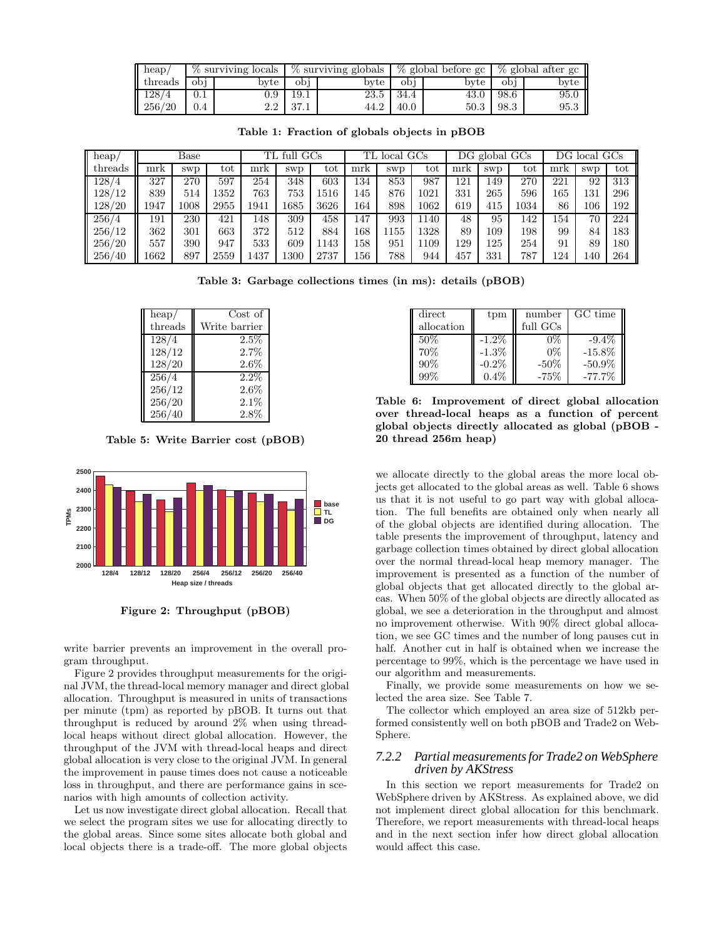| $\parallel$ heap/ |         |                  |                |      |                 |        | $\%$ surviving locals $\%$ surviving globals $\%$ global before gc $\%$ global after gc |      |  |
|-------------------|---------|------------------|----------------|------|-----------------|--------|-----------------------------------------------------------------------------------------|------|--|
| threads           | obi     | byte             | obi            | bvte | obi             | byte I | obi                                                                                     | byte |  |
| 128/4             | 0.1     | 0.9 <sub>1</sub> | 19.1           |      | $23.5 \pm 34.4$ |        | $43.0 \pm 98.6$                                                                         | 95.0 |  |
| 256/20            | $0.4\,$ |                  | $2.2 \pm 37.1$ | 44.2 | 40.0            |        | $50.3$   98.3                                                                           | 95.3 |  |

**Table 1: Fraction of globals objects in pBOB**

| heap/   |      | Base       |      | TL.  | full       | $_{\rm GCs}$ | TL  | local GCs  |      |     | $DG$ global $GCs$ |      | DG. | local      | $_{\rm GCs}$ |
|---------|------|------------|------|------|------------|--------------|-----|------------|------|-----|-------------------|------|-----|------------|--------------|
| threads | mrk  | <b>SWD</b> | tot  | mrk  | <b>SWD</b> | tot          | mrk | <b>SWD</b> | tot  | mrk | <b>SWD</b>        | tot  | mrk | <b>SWD</b> | tot          |
| 128/4   | 327  | 270        | 597  | 254  | 348        | 603          | 134 | 853        | 987  | 121 | 149               | 270  | 221 | 92         | 313          |
| 128/12  | 839  | 514        | 1352 | 763  | 753        | 1516         | 145 | 876        | 1021 | 331 | 265               | 596  | 165 | 131        | 296          |
| 128/20  | 1947 | 1008       | 2955 | 1941 | 1685       | 3626         | 164 | 898        | 1062 | 619 | 415               | 1034 | 86  | 106        | 192          |
| 256/4   | 191  | 230        | 421  | 148  | 309        | 458          | 147 | 993        | 1140 | 48  | 95                | 142  | 154 | 70         | 224          |
| 256/12  | 362  | 301        | 663  | 372  | 512        | 884          | 168 | 155        | 1328 | 89  | 109               | 198  | 99  | 84         | 183          |
| 256/20  | 557  | 390        | 947  | 533  | 609        | 1143         | 158 | 951        | 1109 | 129 | 125               | 254  | 91  | 89         | 180          |
| 256/40  | 1662 | 897        | 2559 | 1437 | 1300       | 2737         | 156 | 788        | 944  | 457 | 331               | 787  | 124 | 140        | 264          |

**Table 3: Garbage collections times (in ms): details (pBOB)**

| heap/   | Cost of       |
|---------|---------------|
| threads | Write barrier |
| 128/4   | $2.5\%$       |
| 128/12  | 2.7%          |
| 128/20  | 2.6%          |
| 256/4   | $2.2\%$       |
| 256/12  | 2.6%          |
| 256/20  | 2.1%          |
| 256/40  | 2.8%          |

**Table 5: Write Barrier cost (pBOB)**



**Figure 2: Throughput (pBOB)**

write barrier prevents an improvement in the overall program throughput.

Figure 2 provides throughput measurements for the original JVM, the thread-local memory manager and direct global allocation. Throughput is measured in units of transactions per minute (tpm) as reported by pBOB. It turns out that throughput is reduced by around 2% when using threadlocal heaps without direct global allocation. However, the throughput of the JVM with thread-local heaps and direct global allocation is very close to the original JVM. In general the improvement in pause times does not cause a noticeable loss in throughput, and there are performance gains in scenarios with high amounts of collection activity.

Let us now investigate direct global allocation. Recall that we select the program sites we use for allocating directly to the global areas. Since some sites allocate both global and local objects there is a trade-off. The more global objects

| direct     | tpm      | number   | GC time   |
|------------|----------|----------|-----------|
| allocation |          | full GCs |           |
| $50\%$     | $-1.2\%$ | 0%       | $-9.4\%$  |
| 70%        | $-1.3\%$ | $0\%$    | $-15.8%$  |
| 90%        | $-0.2\%$ | $-50\%$  | $-50.9%$  |
| 99%        | 0.4%     | $-75%$   | $-77.7\%$ |

**Table 6: Improvement of direct global allocation over thread-local heaps as a function of percent global objects directly allocated as global (pBOB - 20 thread 256m heap)**

we allocate directly to the global areas the more local objects get allocated to the global areas as well. Table 6 shows us that it is not useful to go part way with global allocation. The full benefits are obtained only when nearly all of the global objects are identified during allocation. The table presents the improvement of throughput, latency and garbage collection times obtained by direct global allocation over the normal thread-local heap memory manager. The improvement is presented as a function of the number of global objects that get allocated directly to the global areas. When 50% of the global objects are directly allocated as global, we see a deterioration in the throughput and almost no improvement otherwise. With 90% direct global allocation, we see GC times and the number of long pauses cut in half. Another cut in half is obtained when we increase the percentage to 99%, which is the percentage we have used in our algorithm and measurements.

Finally, we provide some measurements on how we selected the area size. See Table 7.

The collector which employed an area size of 512kb performed consistently well on both pBOB and Trade2 on Web-Sphere.

#### *7.2.2 Partial measurements for Trade2 on WebSphere driven by AKStress*

In this section we report measurements for Trade2 on WebSphere driven by AKStress. As explained above, we did not implement direct global allocation for this benchmark. Therefore, we report measurements with thread-local heaps and in the next section infer how direct global allocation would affect this case.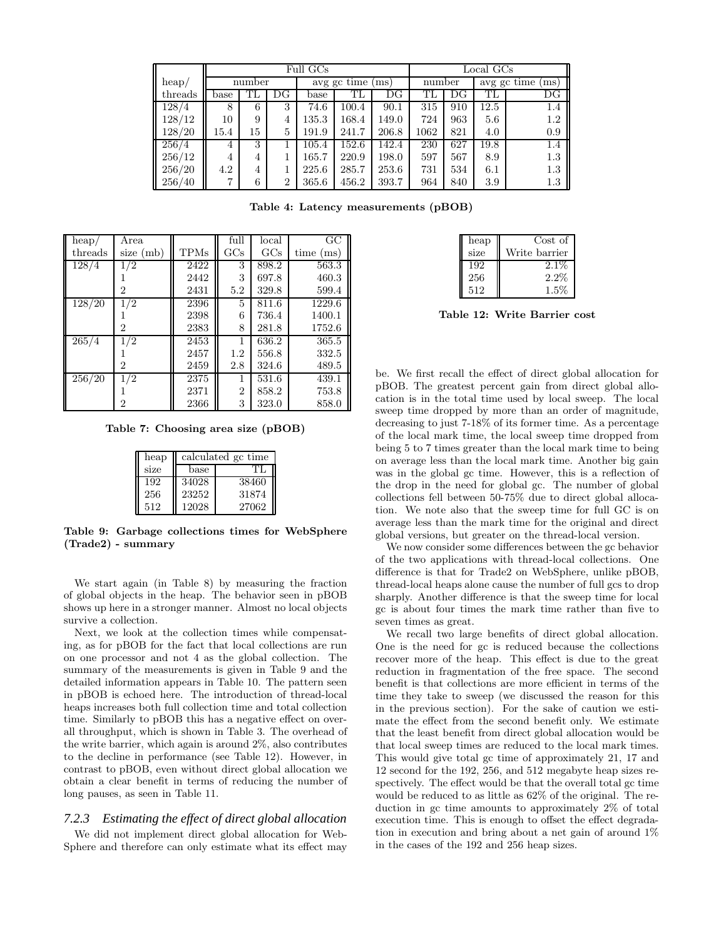|         |        |    |                | Full GCs | Local GCs            |             |      |        |                   |     |  |
|---------|--------|----|----------------|----------|----------------------|-------------|------|--------|-------------------|-----|--|
| heap/   | number |    |                |          | $avg$ gc time $(ms)$ |             |      | number | avg gc time<br>ms |     |  |
| threads | base   | TL | DG             | base     | TL                   | $_{\rm DG}$ | TL   | DG     | ТĒ                | DG  |  |
| 128/4   | 8      | 6  | 3              | 74.6     | 100.4                | 90.1        | 315  | 910    | 12.5              | 1.4 |  |
| 128/12  | 10     | 9  | 4              | 135.3    | 168.4                | 149.0       | 724  | 963    | 5.6               | 1.2 |  |
| 128/20  | 15.4   | 15 | 5              | 191.9    | 241.7                | 206.8       | 1062 | 821    | 4.0               | 0.9 |  |
| 256/4   | 4      | 3  |                | 105.4    | 152.6                | 142.4       | 230  | 627    | 19.8              | 1.4 |  |
| 256/12  | 4      | 4  |                | 165.7    | 220.9                | 198.0       | 597  | 567    | 8.9               | 1.3 |  |
| 256/20  | 4.2    | 4  |                | 225.6    | 285.7                | 253.6       | 731  | 534    | 6.1               | 1.3 |  |
| 256/40  | ⇁      | 6  | $\overline{2}$ | 365.6    | 456.2                | 393.7       | 964  | 840    | 3.9               | 1.3 |  |

**Table 4: Latency measurements (pBOB)**

| heap/   | Area        |             | full           | $_{\rm local}$ | $\overline{GC}$ |
|---------|-------------|-------------|----------------|----------------|-----------------|
| threads | size $(mb)$ | <b>TPMs</b> | GCs            | $_{\rm GCs}$   | time (ms)       |
| 128/4   | 1/2         | 2422        | 3              | 898.2          | 563.3           |
|         |             | 2442        | 3              | 697.8          | 460.3           |
|         | 2           | 2431        | 5.2            | 329.8          | 599.4           |
| 128/20  | 1/2         | 2396        | 5              | 811.6          | 1229.6          |
|         |             | 2398        | 6              | 736.4          | 1400.1          |
|         | 2           | 2383        | 8              | 281.8          | 1752.6          |
| 265/4   | 1/2         | 2453        |                | 636.2          | 365.5           |
|         |             | 2457        | 1.2            | 556.8          | 332.5           |
|         | 2           | 2459        | 2.8            | 324.6          | 489.5           |
| 256/20  | 1/2         | 2375        |                | 531.6          | 439.1           |
|         |             | 2371        | $\overline{2}$ | 858.2          | 753.8           |
|         | 2           | 2366        | 3              | 323.0          | 858.0           |

**Table 7: Choosing area size (pBOB)**

| heap |       | calculated gc time |
|------|-------|--------------------|
| size | base  | TH                 |
| 192  | 34028 | 38460              |
| 256  | 23252 | 31874              |
| 512  | 12028 | 27062              |

**Table 9: Garbage collections times for WebSphere (Trade2) - summary**

We start again (in Table 8) by measuring the fraction of global objects in the heap. The behavior seen in pBOB shows up here in a stronger manner. Almost no local objects survive a collection.

Next, we look at the collection times while compensating, as for pBOB for the fact that local collections are run on one processor and not 4 as the global collection. The summary of the measurements is given in Table 9 and the detailed information appears in Table 10. The pattern seen in pBOB is echoed here. The introduction of thread-local heaps increases both full collection time and total collection time. Similarly to pBOB this has a negative effect on overall throughput, which is shown in Table 3. The overhead of the write barrier, which again is around 2%, also contributes to the decline in performance (see Table 12). However, in contrast to pBOB, even without direct global allocation we obtain a clear benefit in terms of reducing the number of long pauses, as seen in Table 11.

# *7.2.3 Estimating the effect of direct global allocation*

We did not implement direct global allocation for Web-Sphere and therefore can only estimate what its effect may

| heap | Cost of       |
|------|---------------|
| size | Write barrier |
| 192  | $2.1\%$       |
| 256  | $2.2\%$       |
| 512  | $1.5\%$       |

**Table 12: Write Barrier cost**

be. We first recall the effect of direct global allocation for pBOB. The greatest percent gain from direct global allocation is in the total time used by local sweep. The local sweep time dropped by more than an order of magnitude, decreasing to just 7-18% of its former time. As a percentage of the local mark time, the local sweep time dropped from being 5 to 7 times greater than the local mark time to being on average less than the local mark time. Another big gain was in the global gc time. However, this is a reflection of the drop in the need for global gc. The number of global collections fell between 50-75% due to direct global allocation. We note also that the sweep time for full GC is on average less than the mark time for the original and direct global versions, but greater on the thread-local version.

We now consider some differences between the gc behavior of the two applications with thread-local collections. One difference is that for Trade2 on WebSphere, unlike pBOB, thread-local heaps alone cause the number of full gcs to drop sharply. Another difference is that the sweep time for local gc is about four times the mark time rather than five to seven times as great.

We recall two large benefits of direct global allocation. One is the need for gc is reduced because the collections recover more of the heap. This effect is due to the great reduction in fragmentation of the free space. The second benefit is that collections are more efficient in terms of the time they take to sweep (we discussed the reason for this in the previous section). For the sake of caution we estimate the effect from the second benefit only. We estimate that the least benefit from direct global allocation would be that local sweep times are reduced to the local mark times. This would give total gc time of approximately 21, 17 and 12 second for the 192, 256, and 512 megabyte heap sizes respectively. The effect would be that the overall total gc time would be reduced to as little as 62% of the original. The reduction in gc time amounts to approximately 2% of total execution time. This is enough to offset the effect degradation in execution and bring about a net gain of around 1% in the cases of the 192 and 256 heap sizes.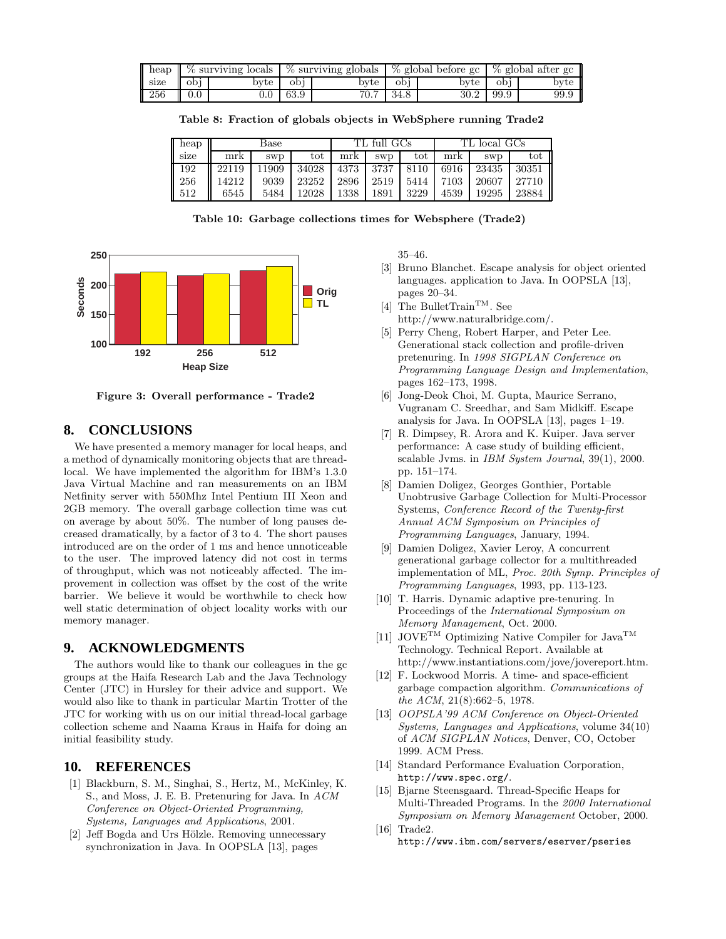| l heap |         | % surviving locals |      | $\frac{1}{2}$ surviving globals |      | % global before gc | % global after gc |      |  |
|--------|---------|--------------------|------|---------------------------------|------|--------------------|-------------------|------|--|
| size   | obi     | bvte               | obi  | byte                            | obi  | bvte               | obi               | byte |  |
| 256    | $0.0\,$ | $0.0\,$            | 63.9 | 70.7                            | 34.8 | 30.2               | 99.9              | 99.9 |  |

**Table 8: Fraction of globals objects in WebSphere running Trade2**

| $\parallel$ heap |       | Base       |       | TL full GCs |            | TL local GCs |      |            |       |
|------------------|-------|------------|-------|-------------|------------|--------------|------|------------|-------|
| $\parallel$ size | mrk   | <b>SWD</b> | tot   | mrk         | <b>SWD</b> | tot          | mrk  | <b>SWD</b> | tot   |
| $\parallel$ 192  | 22119 | 11909      | 34028 | 4373        | 3737       | 8110         | 6916 | 23435      | 30351 |
| $\parallel$ 256  | 14212 | 9039       | 23252 | 2896        | 2519       | 5414         | 7103 | 20607      | 27710 |
| $\parallel$ 512  | 6545  | 5484       | 12028 | 1338        | 1891       | 3229         | 4539 | 19295      | 23884 |

**Table 10: Garbage collections times for Websphere (Trade2)**



**Figure 3: Overall performance - Trade2**

# **8. CONCLUSIONS**

We have presented a memory manager for local heaps, and a method of dynamically monitoring objects that are threadlocal. We have implemented the algorithm for IBM's 1.3.0 Java Virtual Machine and ran measurements on an IBM Netfinity server with 550Mhz Intel Pentium III Xeon and 2GB memory. The overall garbage collection time was cut on average by about 50%. The number of long pauses decreased dramatically, by a factor of 3 to 4. The short pauses introduced are on the order of 1 ms and hence unnoticeable to the user. The improved latency did not cost in terms of throughput, which was not noticeably affected. The improvement in collection was offset by the cost of the write barrier. We believe it would be worthwhile to check how well static determination of object locality works with our memory manager.

### **9. ACKNOWLEDGMENTS**

The authors would like to thank our colleagues in the gc groups at the Haifa Research Lab and the Java Technology Center (JTC) in Hursley for their advice and support. We would also like to thank in particular Martin Trotter of the JTC for working with us on our initial thread-local garbage collection scheme and Naama Kraus in Haifa for doing an initial feasibility study.

# **10. REFERENCES**

- [1] Blackburn, S. M., Singhai, S., Hertz, M., McKinley, K. S., and Moss, J. E. B. Pretenuring for Java. In *ACM Conference on Object-Oriented Programming, Systems, Languages and Applications*, 2001.
- [2] Jeff Bogda and Urs Hölzle. Removing unnecessary synchronization in Java. In OOPSLA [13], pages

35–46.

- [3] Bruno Blanchet. Escape analysis for object oriented languages. application to Java. In OOPSLA [13], pages 20–34.
- $[4]$  The Bullet<br>Train  $^{\rm TM}.$  See http://www.naturalbridge.com/.
- [5] Perry Cheng, Robert Harper, and Peter Lee. Generational stack collection and profile-driven pretenuring. In *1998 SIGPLAN Conference on Programming Language Design and Implementation*, pages 162–173, 1998.
- [6] Jong-Deok Choi, M. Gupta, Maurice Serrano, Vugranam C. Sreedhar, and Sam Midkiff. Escape analysis for Java. In OOPSLA [13], pages 1–19.
- [7] R. Dimpsey, R. Arora and K. Kuiper. Java server performance: A case study of building efficient, scalable Jvms. in *IBM System Journal*, 39(1), 2000. pp. 151–174.
- [8] Damien Doligez, Georges Gonthier, Portable Unobtrusive Garbage Collection for Multi-Processor Systems, *Conference Record of the Twenty-first Annual ACM Symposium on Principles of Programming Languages*, January, 1994.
- [9] Damien Doligez, Xavier Leroy, A concurrent generational garbage collector for a multithreaded implementation of ML, *Proc. 20th Symp. Principles of Programming Languages*, 1993, pp. 113-123.
- [10] T. Harris. Dynamic adaptive pre-tenuring. In Proceedings of the *International Symposium on Memory Management*, Oct. 2000.
- [11] JOVE<sup>TM</sup> Optimizing Native Compiler for Java<sup>TM</sup> Technology. Technical Report. Available at http://www.instantiations.com/jove/jovereport.htm.
- [12] F. Lockwood Morris. A time- and space-efficient garbage compaction algorithm. *Communications of the ACM*, 21(8):662–5, 1978.
- [13] *OOPSLA'99 ACM Conference on Object-Oriented Systems, Languages and Applications*, volume 34(10) of *ACM SIGPLAN Notices*, Denver, CO, October 1999. ACM Press.
- [14] Standard Performance Evaluation Corporation, http://www.spec.org/.
- [15] Bjarne Steensgaard. Thread-Specific Heaps for Multi-Threaded Programs. In the *2000 International Symposium on Memory Management* October, 2000.
- [16] Trade2. http://www.ibm.com/servers/eserver/pseries